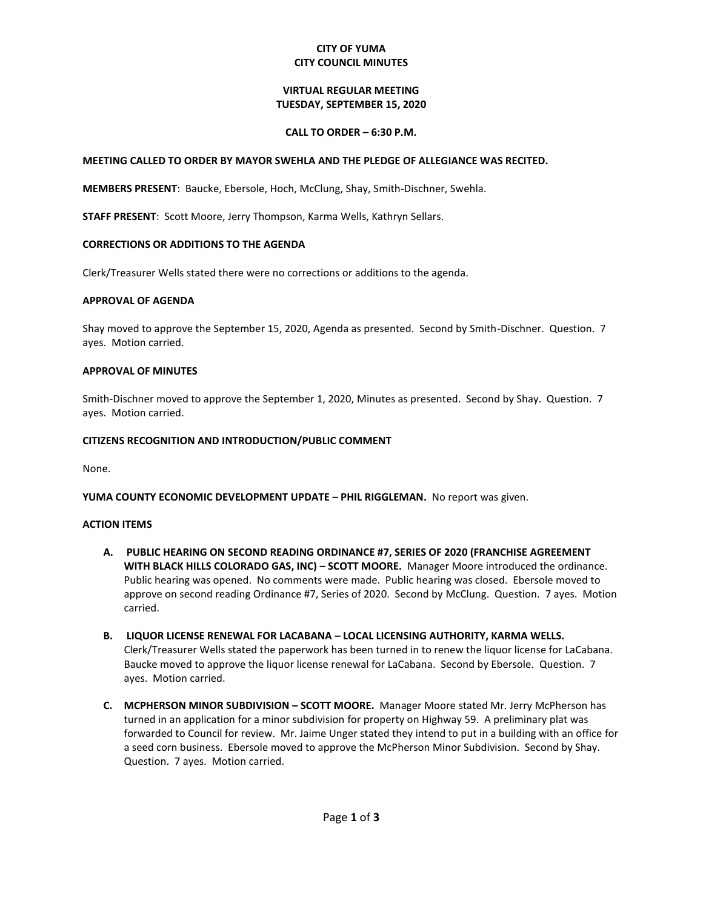## **CITY OF YUMA CITY COUNCIL MINUTES**

## **VIRTUAL REGULAR MEETING TUESDAY, SEPTEMBER 15, 2020**

### **CALL TO ORDER – 6:30 P.M.**

### **MEETING CALLED TO ORDER BY MAYOR SWEHLA AND THE PLEDGE OF ALLEGIANCE WAS RECITED.**

**MEMBERS PRESENT**: Baucke, Ebersole, Hoch, McClung, Shay, Smith-Dischner, Swehla.

**STAFF PRESENT**: Scott Moore, Jerry Thompson, Karma Wells, Kathryn Sellars.

#### **CORRECTIONS OR ADDITIONS TO THE AGENDA**

Clerk/Treasurer Wells stated there were no corrections or additions to the agenda.

#### **APPROVAL OF AGENDA**

Shay moved to approve the September 15, 2020, Agenda as presented. Second by Smith-Dischner. Question. 7 ayes. Motion carried.

#### **APPROVAL OF MINUTES**

Smith-Dischner moved to approve the September 1, 2020, Minutes as presented. Second by Shay. Question. 7 ayes. Motion carried.

#### **CITIZENS RECOGNITION AND INTRODUCTION/PUBLIC COMMENT**

None.

**YUMA COUNTY ECONOMIC DEVELOPMENT UPDATE – PHIL RIGGLEMAN.** No report was given.

#### **ACTION ITEMS**

- **A. PUBLIC HEARING ON SECOND READING ORDINANCE #7, SERIES OF 2020 (FRANCHISE AGREEMENT WITH BLACK HILLS COLORADO GAS, INC) – SCOTT MOORE.** Manager Moore introduced the ordinance. Public hearing was opened. No comments were made. Public hearing was closed. Ebersole moved to approve on second reading Ordinance #7, Series of 2020. Second by McClung. Question. 7 ayes. Motion carried.
- **B. LIQUOR LICENSE RENEWAL FOR LACABANA – LOCAL LICENSING AUTHORITY, KARMA WELLS.**  Clerk/Treasurer Wells stated the paperwork has been turned in to renew the liquor license for LaCabana. Baucke moved to approve the liquor license renewal for LaCabana. Second by Ebersole. Question. 7 ayes. Motion carried.
- **C. MCPHERSON MINOR SUBDIVISION – SCOTT MOORE.** Manager Moore stated Mr. Jerry McPherson has turned in an application for a minor subdivision for property on Highway 59. A preliminary plat was forwarded to Council for review. Mr. Jaime Unger stated they intend to put in a building with an office for a seed corn business. Ebersole moved to approve the McPherson Minor Subdivision. Second by Shay. Question. 7 ayes. Motion carried.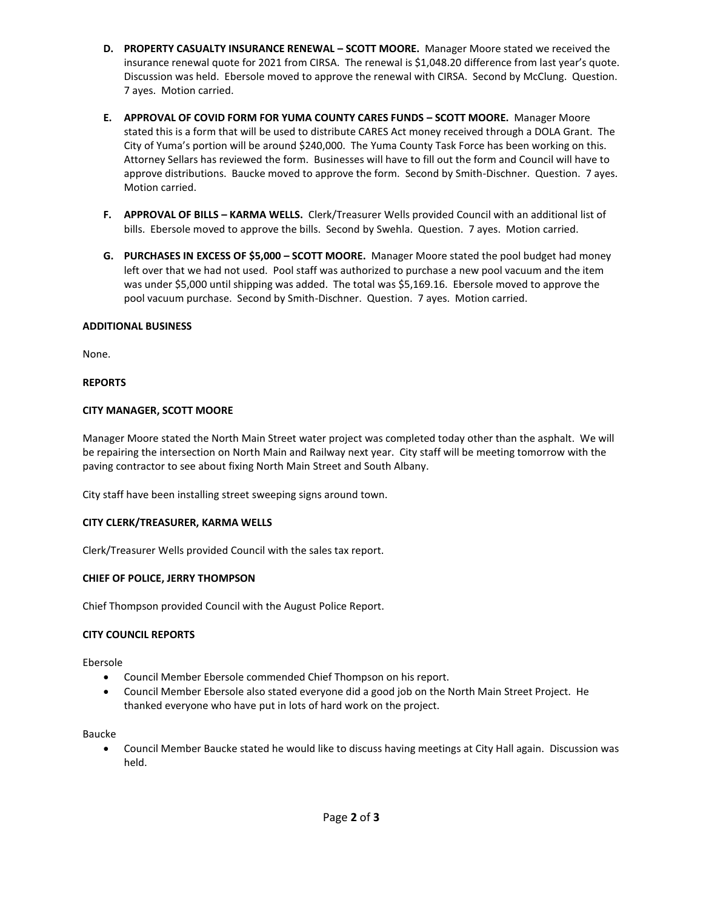- **D. PROPERTY CASUALTY INSURANCE RENEWAL – SCOTT MOORE.** Manager Moore stated we received the insurance renewal quote for 2021 from CIRSA. The renewal is \$1,048.20 difference from last year's quote. Discussion was held. Ebersole moved to approve the renewal with CIRSA. Second by McClung. Question. 7 ayes. Motion carried.
- **E. APPROVAL OF COVID FORM FOR YUMA COUNTY CARES FUNDS – SCOTT MOORE.** Manager Moore stated this is a form that will be used to distribute CARES Act money received through a DOLA Grant. The City of Yuma's portion will be around \$240,000. The Yuma County Task Force has been working on this. Attorney Sellars has reviewed the form. Businesses will have to fill out the form and Council will have to approve distributions. Baucke moved to approve the form. Second by Smith-Dischner. Question. 7 ayes. Motion carried.
- **F. APPROVAL OF BILLS – KARMA WELLS.** Clerk/Treasurer Wells provided Council with an additional list of bills. Ebersole moved to approve the bills. Second by Swehla. Question. 7 ayes. Motion carried.
- **G. PURCHASES IN EXCESS OF \$5,000 – SCOTT MOORE.** Manager Moore stated the pool budget had money left over that we had not used. Pool staff was authorized to purchase a new pool vacuum and the item was under \$5,000 until shipping was added. The total was \$5,169.16. Ebersole moved to approve the pool vacuum purchase. Second by Smith-Dischner. Question. 7 ayes. Motion carried.

## **ADDITIONAL BUSINESS**

None.

## **REPORTS**

## **CITY MANAGER, SCOTT MOORE**

Manager Moore stated the North Main Street water project was completed today other than the asphalt. We will be repairing the intersection on North Main and Railway next year. City staff will be meeting tomorrow with the paving contractor to see about fixing North Main Street and South Albany.

City staff have been installing street sweeping signs around town.

# **CITY CLERK/TREASURER, KARMA WELLS**

Clerk/Treasurer Wells provided Council with the sales tax report.

# **CHIEF OF POLICE, JERRY THOMPSON**

Chief Thompson provided Council with the August Police Report.

### **CITY COUNCIL REPORTS**

Ebersole

- Council Member Ebersole commended Chief Thompson on his report.
- Council Member Ebersole also stated everyone did a good job on the North Main Street Project. He thanked everyone who have put in lots of hard work on the project.

Baucke

 Council Member Baucke stated he would like to discuss having meetings at City Hall again. Discussion was held.